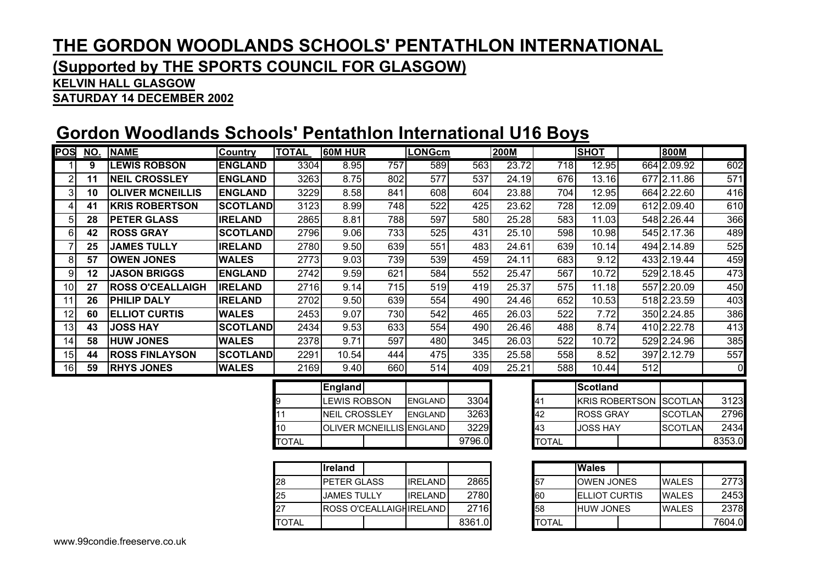### **(Supported by THE SPORTS COUNCIL FOR GLASGOW)**

#### **KELVIN HALL GLASGOW**

**SATURDAY 14 DECEMBER 2002**

## **Gordon Woodlands Schools' Pentathlon International U16 Boys**

| POS             |    | NO. NAME                | <b>Country</b>  | <b>TOTAL</b> | <b>60M HUR</b> |     | <b>LONGcm</b> |      | <b>200M</b> |     | <b>SHOT</b> | 800M        |                |
|-----------------|----|-------------------------|-----------------|--------------|----------------|-----|---------------|------|-------------|-----|-------------|-------------|----------------|
|                 | 9  | <b>LEWIS ROBSON</b>     | <b>ENGLAND</b>  | 3304         | 8.95           | 757 | 589           | 563  | 23.72       | 718 | 12.95       | 664 2.09.92 | 602            |
| 2               | 11 | <b>NEIL CROSSLEY</b>    | <b>ENGLAND</b>  | 3263         | 8.75           | 802 | 577           | 537  | 24.19       | 676 | 13.16       | 677 2.11.86 | 571            |
| 3I              | 10 | <b>OLIVER MCNEILLIS</b> | <b>ENGLAND</b>  | 3229         | 8.58           | 841 | 608           | 604  | 23.88       | 704 | 12.95       | 664 2.22.60 | 416            |
| 41              | 41 | <b>KRIS ROBERTSON</b>   | <b>SCOTLAND</b> | 3123         | 8.99           | 748 | 522           | 425  | 23.62       | 728 | 12.09       | 612 2.09.40 | 610            |
| 51              | 28 | <b>PETER GLASS</b>      | <b>IRELAND</b>  | 2865         | 8.81           | 788 | 597           | 580  | 25.28       | 583 | 11.03       | 548 2.26.44 | 366            |
| 6               | 42 | <b>ROSS GRAY</b>        | SCOTLAND        | 2796         | 9.06           | 733 | 525           | 431  | 25.10       | 598 | 10.98       | 545 2.17.36 | 489            |
|                 | 25 | <b>JAMES TULLY</b>      | <b>IRELAND</b>  | 2780         | 9.50           | 639 | 551           | 483  | 24.61       | 639 | 10.14       | 494 2.14.89 | 525            |
| 81              | 57 | <b>OWEN JONES</b>       | <b>WALES</b>    | 2773         | 9.03           | 739 | 539           | 459  | 24.11       | 683 | 9.12        | 433 2.19.44 | 459            |
| 9               | 12 | <b>JASON BRIGGS</b>     | <b>ENGLAND</b>  | 2742         | 9.59           | 621 | 584           | 552  | 25.47       | 567 | 10.72       | 529 2.18.45 | 473            |
| 10 <sup>1</sup> | 27 | <b>ROSS O'CEALLAIGH</b> | <b>IRELAND</b>  | 2716         | 9.14           | 715 | 519           | 419  | 25.37       | 575 | 11.18       | 557 2.20.09 | 450            |
| 11              | 26 | PHILIP DALY             | <b>IRELAND</b>  | 2702         | 9.50           | 639 | 554           | 490  | 24.46       | 652 | 10.53       | 518 2.23.59 | 403            |
| 12              | 60 | <b> ELLIOT CURTIS</b>   | <b>WALES</b>    | 2453         | 9.07           | 730 | 542           | 465  | 26.03       | 522 | 7.72        | 350 2.24.85 | 386            |
| 13 <sub>1</sub> | 43 | <b>JOSS HAY</b>         | <b>SCOTLAND</b> | 2434         | 9.53           | 633 | 554           | 490  | 26.46       | 488 | 8.74        | 410 2.22.78 | 413            |
| 14              | 58 | <b>HUW JONES</b>        | <b>WALES</b>    | 2378         | 9.71           | 597 | 480           | 345I | 26.03       | 522 | 10.72       | 529 2.24.96 | 385            |
| 15 <sub>1</sub> | 44 | <b>ROSS FINLAYSON</b>   | <b>SCOTLAND</b> | 2291         | 10.54          | 444 | 475           | 335  | 25.58       | 558 | 8.52        | 397 2.12.79 | 557            |
| 16              | 59 | <b>RHYS JONES</b>       | <b>WALES</b>    | 2169         | 9.40           | 660 | 514           | 409  | 25.21       | 588 | 10.44       | 512         | $\overline{0}$ |

|              | <b>England</b>        |  |                                 |        |       | Scotland        |
|--------------|-----------------------|--|---------------------------------|--------|-------|-----------------|
| 9            | <b>LEWIS ROBSON</b>   |  | <b>ENGLAND</b>                  | 3304   | 41    | <b>KRIS ROE</b> |
| 11           | <b>INEIL CROSSLEY</b> |  | <b>ENGLAND</b>                  | 3263   | 42    | <b>ROSS GR</b>  |
| 10           |                       |  | <b>OLIVER MCNEILLIS ENGLAND</b> | 3229   | 43    | <b>JOSS HAY</b> |
| <b>TOTAL</b> |                       |  |                                 | 9796.0 | TOTAL |                 |

|              | llreland            |                            |        |              | <b>Wales</b> |
|--------------|---------------------|----------------------------|--------|--------------|--------------|
| 28           | <b>IPETER GLASS</b> | <b>IRELAND</b>             | 2865   | 57           | <b>OWEN</b>  |
| 25           | <b>JAMES TULLY</b>  | <b>IRELAND</b>             | 2780   | 60           | ELLIOT       |
| 27           |                     | IROSS O'CEALLAIGHIRELAND I | 2716   | 58           | L WUH        |
| <b>TOTAL</b> |                     |                            | 8361.0 | <b>TOTAL</b> |              |

|    |                     |        |       | <b>Scotland</b>  |                          |        |
|----|---------------------|--------|-------|------------------|--------------------------|--------|
| N  | <b>ENGLAND</b>      | 3304   | 41    |                  | IKRIS ROBERTSON ISCOTLAN | 3123   |
| ïΥ | <b>IENGLAND</b>     | 3263   | 42    | <b>ROSS GRAY</b> | <b>SCOTLAN</b>           | 2796   |
|    | <b>LLIS ENGLAND</b> | 3229   | 43    | <b>JOSS HAY</b>  | <b>SCOTLAN</b>           | 2434   |
|    |                     | 9796.0 | TOTAL |                  |                          | 8353.0 |

|   |        |      | <b>Wales</b>          |              |        |
|---|--------|------|-----------------------|--------------|--------|
| D | 2865   | 57   | <b>OWEN JONES</b>     | <b>WALES</b> | 2773   |
| D | 2780   | 60   | <b>IELLIOT CURTIS</b> | <b>WALES</b> | 2453   |
| D | 2716   | 58   | <b>HUW JONES</b>      | <b>WALES</b> | 2378   |
|   | 8361.0 | OTAL |                       |              | 7604.0 |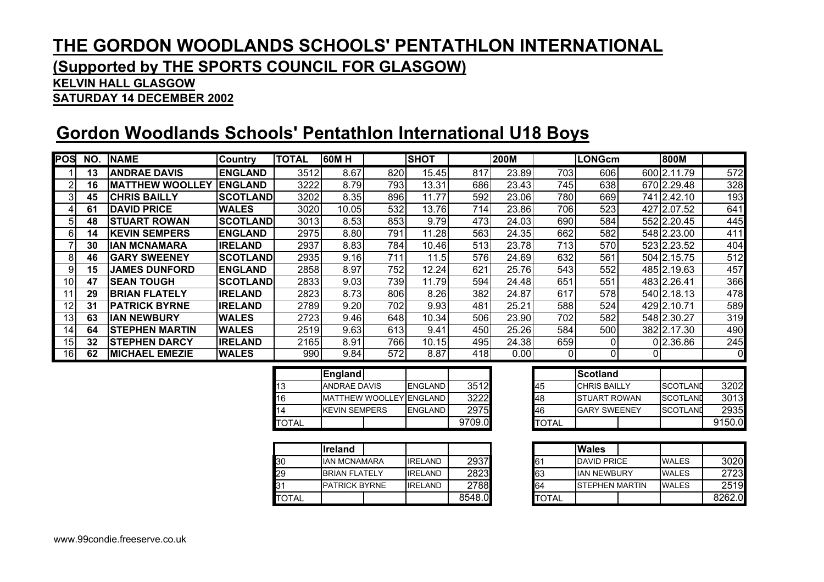### **(Supported by THE SPORTS COUNCIL FOR GLASGOW)**

#### **KELVIN HALL GLASGOW**

**SATURDAY 14 DECEMBER 2002**

## **Gordon Woodlands Schools' Pentathlon International U18 Boys**

| POSI            | NO. | <b>NAME</b>             | <b>Country</b>  | <b>TOTAL</b> | <b>60MH</b> |     | <b>SHOT</b> |     | <b>200M</b> |      | <b>LONGcm</b> | 800M        |                |
|-----------------|-----|-------------------------|-----------------|--------------|-------------|-----|-------------|-----|-------------|------|---------------|-------------|----------------|
|                 | 13  | <b>ANDRAE DAVIS</b>     | <b>ENGLAND</b>  | 3512         | 8.67        | 820 | 15.45       | 817 | 23.89       | 703  | 606           | 600 2.11.79 | 572            |
|                 | 16  | <b>IMATTHEW WOOLLEY</b> | <b>IENGLAND</b> | 3222         | 8.79        | 793 | 13.31       | 686 | 23.43       | 7451 | 638           | 670 2.29.48 | 328            |
|                 | 45  | <b>CHRIS BAILLY</b>     | <b>SCOTLAND</b> | 3202         | 8.35        | 896 | 11.77       | 592 | 23.06       | 780  | 669           | 741 2.42.10 | 193            |
|                 | 61  | <b>DAVID PRICE</b>      | <b>WALES</b>    | 3020         | 10.05       | 532 | 13.76       | 714 | 23.86       | 706  | 523           | 427 2.07.52 | 641            |
| 51              | 48  | STUART ROWAN            | <b>SCOTLAND</b> | 3013         | 8.53        | 853 | 9.79        | 473 | 24.03       | 690  | 584           | 552 2.20.45 | 445            |
| 61              | 14  | <b>KEVIN SEMPERS</b>    | <b>ENGLAND</b>  | 2975         | 8.80        | 791 | 11.28       | 563 | 24.35       | 662  | 582           | 548 2.23.00 | 411            |
|                 | 30  | <b>IAN MCNAMARA</b>     | <b>IRELAND</b>  | 2937         | 8.83        | 784 | 10.46       | 513 | 23.78       | 713  | 5701          | 523 2.23.52 | 404            |
| 81              | 46  | <b>GARY SWEENEY</b>     | <b>SCOTLAND</b> | 2935         | 9.16        | 711 | 11.5        | 576 | 24.69       | 632  | 561           | 504 2.15.75 | 512            |
| 9               | 15  | <b>JAMES DUNFORD</b>    | <b>ENGLAND</b>  | 2858         | 8.97        | 752 | 12.24       | 621 | 25.76       | 543  | 552           | 485 2.19.63 | 457            |
| 10 <sup>1</sup> | 47  | <b>SEAN TOUGH</b>       | <b>SCOTLAND</b> | 2833         | 9.03        | 739 | 11.79       | 594 | 24.48       | 651  | 551           | 483 2.26.41 | 366            |
| 11              | 29  | <b>IBRIAN FLATELY</b>   | <b>IRELAND</b>  | 2823         | 8.73        | 806 | 8.26        | 382 | 24.87       | 617  | 578           | 540 2.18.13 | 478            |
| 12              | 31  | <b>PATRICK BYRNE</b>    | <b>IRELAND</b>  | 2789         | 9.20        | 702 | 9.93        | 481 | 25.21       | 588  | 524           | 429 2.10.71 | 589            |
| 13              | 63  | <b>IIAN NEWBURY</b>     | <b>WALES</b>    | 2723         | 9.46        | 648 | 10.34       | 506 | 23.90       | 702  | 582           | 548 2.30.27 | 319            |
| 14 <sub>1</sub> | 64  | STEPHEN MARTIN          | <b>WALES</b>    | 2519         | 9.63        | 613 | 9.41        | 450 | 25.26       | 584  | 500           | 382 2.17.30 | 490            |
| 15 <sub>1</sub> | 32  | <b>ISTEPHEN DARCY</b>   | <b>IRELAND</b>  | 2165         | 8.91        | 766 | 10.15       | 495 | 24.38       | 659  | 01            | 0 2.36.86   | 245            |
| 16              | 62  | <b>MICHAEL EMEZIE</b>   | <b>WALES</b>    | 990          | 9.84        | 572 | 8.87        | 418 | 0.00        | 01   | 0             |             | $\overline{0}$ |

|              | <b>England</b>       |                                |        |              | Scotland          |
|--------------|----------------------|--------------------------------|--------|--------------|-------------------|
| 13           | <b>ANDRAE DAVIS</b>  | <b>ENGLAND</b>                 | 3512   | 45           | <b>CHRIS BAIL</b> |
| 16           |                      | <b>MATTHEW WOOLLEY ENGLAND</b> | 3222   | 48           | <b>ISTUART R</b>  |
| 14           | <b>KEVIN SEMPERS</b> | <b>ENGLAND</b>                 | 2975   | 46           | <b>GARY SWE</b>   |
| <b>TOTAL</b> |                      |                                | 9709.0 | <b>TOTAL</b> |                   |

|              | lireland             |                |        |              | <b>Wales</b>  |
|--------------|----------------------|----------------|--------|--------------|---------------|
| 30           | <b>IAN MCNAMARA</b>  | <b>IRELAND</b> | 2937   | 61           | <b>DAVID</b>  |
| 29           | <b>BRIAN FLATELY</b> | <b>IRELAND</b> | 2823   | 63           | <b>IAN NE</b> |
| 131          | <b>PATRICK BYRNE</b> | <b>IRELAND</b> | 2788   | 64           | <b>STEPHI</b> |
| <b>TOTAL</b> |                      |                | 8548.0 | <b>TOTAL</b> |               |

|   | England                        |                |        |              | <b>Scotland</b>     |                 |  |
|---|--------------------------------|----------------|--------|--------------|---------------------|-----------------|--|
|   | <b>ANDRAE DAVIS</b>            | ENGLAND        | 3512   | 45           | <b>CHRIS BAILLY</b> | <b>SCOTLAND</b> |  |
|   | <b>MATTHEW WOOLLEY ENGLAND</b> |                | 3222   | 148          | <b>STUART ROWAN</b> | <b>SCOTLAND</b> |  |
|   | <b>KEVIN SEMPERS</b>           | <b>ENGLAND</b> | 2975   | 46           | <b>GARY SWEENEY</b> | SCOTLAND        |  |
| ┕ |                                |                | 9709.0 | <b>TOTAL</b> |                     |                 |  |

|   | <b>Ireland</b>       |  |                |        |              | <b>Wales</b>           |  |              |        |
|---|----------------------|--|----------------|--------|--------------|------------------------|--|--------------|--------|
|   | <b>IAN MCNAMARA</b>  |  | <b>IRELAND</b> | 2937   | l61          | <b>DAVID PRICE</b>     |  | <b>WALES</b> | 3020   |
|   | <b>BRIAN FLATELY</b> |  | <b>IRELAND</b> | 2823   | 63           | <b>IAN NEWBURY</b>     |  | <b>WALES</b> | 2723   |
|   | <b>PATRICK BYRNE</b> |  | <b>IRELAND</b> | 2788   | 64           | <b>ISTEPHEN MARTIN</b> |  | <b>WALES</b> | 2519   |
| ┕ |                      |  |                | 8548.0 | <b>TOTAL</b> |                        |  |              | 8262.0 |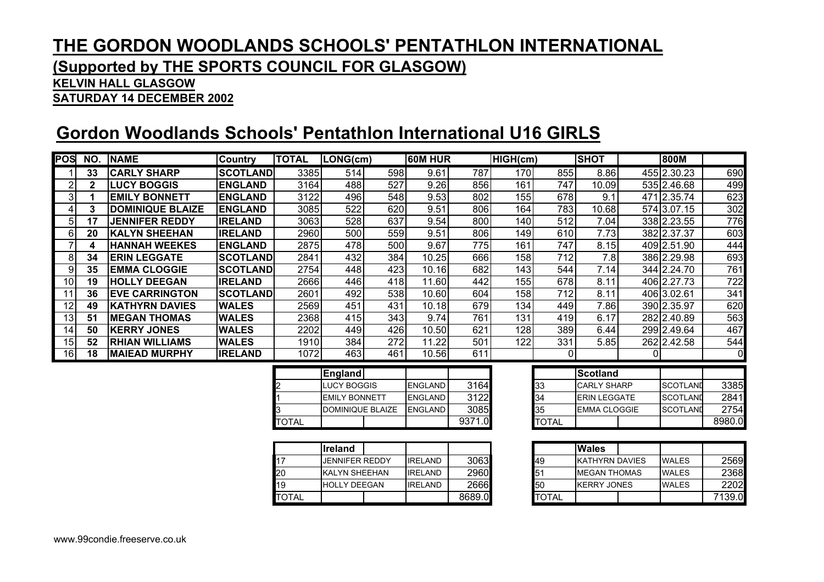### **(Supported by THE SPORTS COUNCIL FOR GLASGOW)**

#### **KELVIN HALL GLASGOW**

**SATURDAY 14 DECEMBER 2002**

## **Gordon Woodlands Schools' Pentathlon International U16 GIRLS**

| POS             | NO.             | <b>NAME</b>             | Country         | <b>TOTAL</b> | $LONG$ (cm)             |                  | <b>60M HUR</b> |        | HIGH(cm)         |                  | <b>SHOT</b>           | 800M            |                  |
|-----------------|-----------------|-------------------------|-----------------|--------------|-------------------------|------------------|----------------|--------|------------------|------------------|-----------------------|-----------------|------------------|
|                 | 33              | <b>CARLY SHARP</b>      | <b>SCOTLAND</b> | 3385         | 514                     | 598              | 9.61           | 787    | 170              | 855              | 8.86                  | 455 2.30.23     | 690              |
| $\overline{2}$  | $\mathbf{2}$    | <b>LUCY BOGGIS</b>      | <b>ENGLAND</b>  | 3164         | 488                     | 527              | 9.26           | 856    | 161              | 747              | 10.09                 | 535 2.46.68     | 499              |
| 3               | $\mathbf 1$     | <b>EMILY BONNETT</b>    | <b>ENGLAND</b>  | 3122         | 496                     | 548              | 9.53           | 802    | 155              | 678              | 9.1                   | 471 2.35.74     | 623              |
| 4               | $\mathbf{3}$    | <b>DOMINIQUE BLAIZE</b> | <b>ENGLAND</b>  | 3085         | 522                     | 620              | 9.51           | 806    | 164              | 783              | 10.68                 | 574 3.07.15     | 302              |
| 5               | 17              | <b>JENNIFER REDDY</b>   | <b>IRELAND</b>  | 3063         | 528                     | 637              | 9.54           | 800    | 140              | 512              | 7.04                  | 338 2.23.55     | 776              |
| 6               | 20              | <b>KALYN SHEEHAN</b>    | <b>IRELAND</b>  | 2960         | 500                     | 559              | 9.51           | 806    | 149              | 610              | 7.73                  | 382 2.37.37     | 603              |
| $\overline{7}$  | 4               | <b>HANNAH WEEKES</b>    | <b>ENGLAND</b>  | 2875         | 478                     | 500              | 9.67           | 775    | 161              | 747              | 8.15                  | 409 2.51.90     | 444              |
| 8               | 34              | <b>ERIN LEGGATE</b>     | <b>SCOTLAND</b> | 2841         | 432                     | 384              | 10.25          | 666    | 158              | $\overline{712}$ | 7.8                   | 386 2.29.98     | 693              |
| 9               | 35              | <b>EMMA CLOGGIE</b>     | <b>SCOTLAND</b> | 2754         | 448                     | $\overline{423}$ | 10.16          | 682    | 143              | 544              | 7.14                  | 344 2.24.70     | 761              |
| 10              | 19              | <b>HOLLY DEEGAN</b>     | <b>IRELAND</b>  | 2666         | 446                     | 418              | 11.60          | 442    | 155              | 678              | 8.11                  | 406 2.27.73     | $\overline{722}$ |
| 11              | 36              | <b>EVE CARRINGTON</b>   | <b>SCOTLAND</b> | 2601         | 492                     | 538              | 10.60          | 604    | 158              | 712              | 8.11                  | 406 3.02.61     | 341              |
| 12              | 49              | <b>KATHYRN DAVIES</b>   | <b>WALES</b>    | 2569         | 451                     | 431              | 10.18          | 679    | 134              | 449              | 7.86                  | 390 2.35.97     | 620              |
| $\overline{13}$ | $\overline{51}$ | <b>MEGAN THOMAS</b>     | <b>WALES</b>    | 2368         | 415                     | $\overline{343}$ | 9.74           | 761    | 131              | 419              | 6.17                  | 282 2.40.89     | 563              |
| 14              | 50              | <b>KERRY JONES</b>      | <b>WALES</b>    | 2202         | 449                     | 426              | 10.50          | 621    | $\overline{128}$ | 389              | 6.44                  | 299 2.49.64     | 467              |
| 15              | 52              | <b>RHIAN WILLIAMS</b>   | <b>WALES</b>    | 1910         | 384                     | $\overline{272}$ | 11.22          | 501    | 122              | 331              | 5.85                  | 262 2.42.58     | 544              |
| 16              | 18              | <b>MAIEAD MURPHY</b>    | <b>IRELAND</b>  | 1072         | 463                     | 461              | 10.56          | 611    |                  | 0                |                       |                 | 0                |
|                 |                 |                         |                 |              | England                 |                  |                |        |                  |                  | <b>Scotland</b>       |                 |                  |
|                 |                 |                         |                 |              | <b>LUCY BOGGIS</b>      |                  | <b>ENGLAND</b> | 3164   |                  | 33               | <b>CARLY SHARP</b>    | <b>SCOTLAND</b> | 3385             |
|                 |                 |                         |                 |              | <b>EMILY BONNETT</b>    |                  | <b>ENGLAND</b> | 3122   |                  | 34               | <b>ERIN LEGGATE</b>   | <b>SCOTLAND</b> | 2841             |
|                 |                 |                         |                 |              | <b>DOMINIQUE BLAIZE</b> |                  | <b>ENGLAND</b> | 3085   |                  | 35               | <b>EMMA CLOGGIE</b>   | <b>SCOTLAND</b> | 2754             |
|                 |                 |                         |                 | <b>TOTAL</b> |                         |                  |                | 9371.0 |                  | <b>TOTAL</b>     |                       |                 | 8980.0           |
|                 |                 |                         |                 |              |                         |                  |                |        |                  |                  |                       |                 |                  |
|                 |                 |                         |                 |              | <b>I</b> reland         |                  |                |        |                  |                  | <b>Wales</b>          |                 |                  |
|                 |                 |                         |                 | 17           | <b>JENNIFER REDDY</b>   |                  | <b>IRELAND</b> | 3063   |                  | 49               | <b>KATHYRN DAVIES</b> | <b>WALES</b>    | 2569             |
|                 |                 |                         |                 | 20           | <b>KALYN SHEEHAN</b>    |                  | <b>IRELAND</b> | 2960   |                  | 51               | <b>MEGAN THOMAS</b>   | <b>WALES</b>    | 2368             |
|                 |                 |                         |                 | 19           | <b>HOLLY DEEGAN</b>     |                  | <b>IRELAND</b> | 2666   |                  | 50               | <b>KERRY JONES</b>    | <b>WALES</b>    | 2202             |
|                 |                 |                         |                 | <b>TOTAL</b> |                         |                  |                | 8689.0 |                  | <b>TOTAL</b>     |                       |                 | 7139.0           |